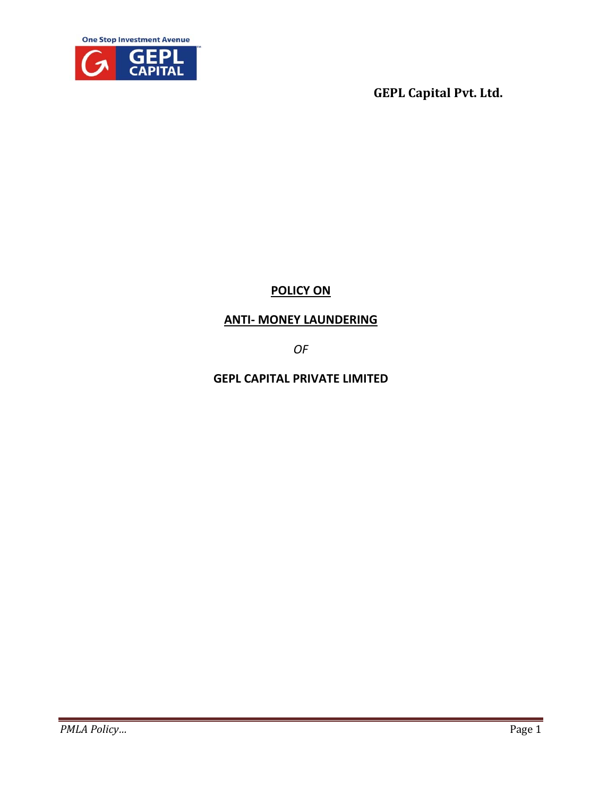



# <sup>U</sup>**POLICY ON**

## <sup>U</sup>**ANTI‐ MONEY LAUNDERING**

*OF* 

**GEPL CAPITAL PRIVATE LIMITED**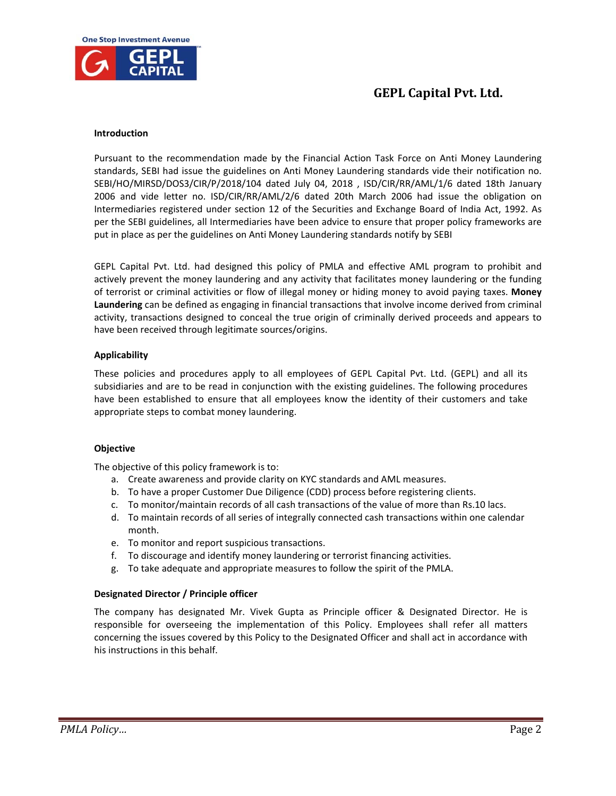

## **Introduction**

Pursuant to the recommendation made by the Financial Action Task Force on Anti Money Laundering standards, SEBI had issue the guidelines on Anti Money Laundering standards vide their notification no. SEBI/HO/MIRSD/DOS3/CIR/P/2018/104 dated July 04, 2018 , ISD/CIR/RR/AML/1/6 dated 18th January 2006 and vide letter no. ISD/CIR/RR/AML/2/6 dated 20th March 2006 had issue the obligation on Intermediaries registered under section 12 of the Securities and Exchange Board of India Act, 1992. As per the SEBI guidelines, all Intermediaries have been advice to ensure that proper policy frameworks are put in place as per the guidelines on Anti Money Laundering standards notify by SEBI

GEPL Capital Pvt. Ltd. had designed this policy of PMLA and effective AML program to prohibit and actively prevent the money laundering and any activity that facilitates money laundering or the funding of terrorist or criminal activities or flow of illegal money or hiding money to avoid paying taxes. **Money Laundering** can be defined as engaging in financial transactions that involve income derived from criminal activity, transactions designed to conceal the true origin of criminally derived proceeds and appears to have been received through legitimate sources/origins.

## **Applicability**

These policies and procedures apply to all employees of GEPL Capital Pvt. Ltd. (GEPL) and all its subsidiaries and are to be read in conjunction with the existing guidelines. The following procedures have been established to ensure that all employees know the identity of their customers and take appropriate steps to combat money laundering.

## **Objective**

The objective of this policy framework is to:

- a. Create awareness and provide clarity on KYC standards and AML measures.
- b. To have a proper Customer Due Diligence (CDD) process before registering clients.
- c. To monitor/maintain records of all cash transactions of the value of more than Rs.10 lacs.
- d. To maintain records of all series of integrally connected cash transactions within one calendar month.
- e. To monitor and report suspicious transactions.
- f. To discourage and identify money laundering or terrorist financing activities.
- g. To take adequate and appropriate measures to follow the spirit of the PMLA.

## **Designated Director / Principle officer**

The company has designated Mr. Vivek Gupta as Principle officer & Designated Director. He is responsible for overseeing the implementation of this Policy. Employees shall refer all matters concerning the issues covered by this Policy to the Designated Officer and shall act in accordance with his instructions in this behalf.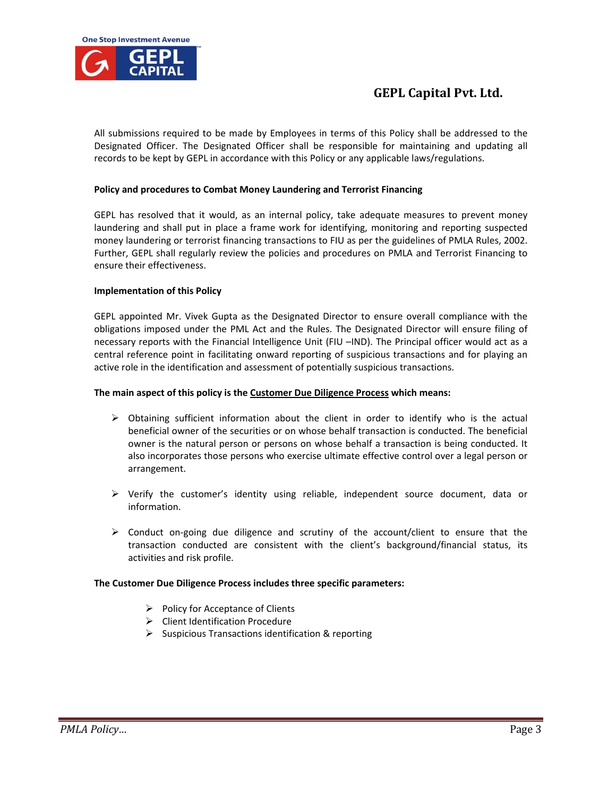

All submissions required to be made by Employees in terms of this Policy shall be addressed to the Designated Officer. The Designated Officer shall be responsible for maintaining and updating all records to be kept by GEPL in accordance with this Policy or any applicable laws/regulations.

## **Policy and procedures to Combat Money Laundering and Terrorist Financing**

GEPL has resolved that it would, as an internal policy, take adequate measures to prevent money laundering and shall put in place a frame work for identifying, monitoring and reporting suspected money laundering or terrorist financing transactions to FIU as per the guidelines of PMLA Rules, 2002. Further, GEPL shall regularly review the policies and procedures on PMLA and Terrorist Financing to ensure their effectiveness.

## **Implementation of this Policy**

GEPL appointed Mr. Vivek Gupta as the Designated Director to ensure overall compliance with the obligations imposed under the PML Act and the Rules. The Designated Director will ensure filing of necessary reports with the Financial Intelligence Unit (FIU –IND). The Principal officer would act as a central reference point in facilitating onward reporting of suspicious transactions and for playing an active role in the identification and assessment of potentially suspicious transactions.

## **The main aspect of this policy is the Customer Due Diligence Process which means:**

- $\triangleright$  Obtaining sufficient information about the client in order to identify who is the actual beneficial owner of the securities or on whose behalf transaction is conducted. The beneficial owner is the natural person or persons on whose behalf a transaction is being conducted. It also incorporates those persons who exercise ultimate effective control over a legal person or arrangement.
- $\triangleright$  Verify the customer's identity using reliable, independent source document, data or information.
- $\triangleright$  Conduct on-going due diligence and scrutiny of the account/client to ensure that the transaction conducted are consistent with the client's background/financial status, its activities and risk profile.

## **The Customer Due Diligence Process includes three specific parameters:**

- $\triangleright$  Policy for Acceptance of Clients
- $\triangleright$  Client Identification Procedure
- $\triangleright$  Suspicious Transactions identification & reporting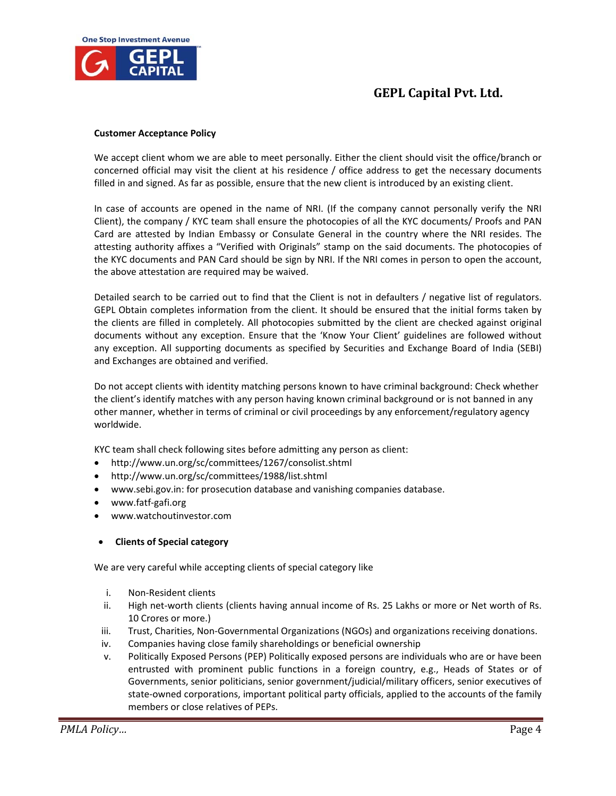

#### **Customer Acceptance Policy**

We accept client whom we are able to meet personally. Either the client should visit the office/branch or concerned official may visit the client at his residence / office address to get the necessary documents filled in and signed. As far as possible, ensure that the new client is introduced by an existing client.

In case of accounts are opened in the name of NRI. (If the company cannot personally verify the NRI Client), the company / KYC team shall ensure the photocopies of all the KYC documents/ Proofs and PAN Card are attested by Indian Embassy or Consulate General in the country where the NRI resides. The attesting authority affixes a "Verified with Originals" stamp on the said documents. The photocopies of the KYC documents and PAN Card should be sign by NRI. If the NRI comes in person to open the account, the above attestation are required may be waived.

Detailed search to be carried out to find that the Client is not in defaulters / negative list of regulators. GEPL Obtain completes information from the client. It should be ensured that the initial forms taken by the clients are filled in completely. All photocopies submitted by the client are checked against original documents without any exception. Ensure that the 'Know Your Client' guidelines are followed without any exception. All supporting documents as specified by Securities and Exchange Board of India (SEBI) and Exchanges are obtained and verified.

Do not accept clients with identity matching persons known to have criminal background: Check whether the client's identify matches with any person having known criminal background or is not banned in any other manner, whether in terms of criminal or civil proceedings by any enforcement/regulatory agency worldwide.

KYC team shall check following sites before admitting any person as client:

- http://www.un.org/sc/committees/1267/consolist.shtml
- http://www.un.org/sc/committees/1988/list.shtml
- www.sebi.gov.in: for prosecution database and vanishing companies database.
- www.fatf‐gafi.org
- www.watchoutinvestor.com

## **Clients of Special category**

We are very careful while accepting clients of special category like

- i. Non‐Resident clients
- ii. High net-worth clients (clients having annual income of Rs. 25 Lakhs or more or Net worth of Rs. 10 Crores or more.)
- iii. Trust, Charities, Non-Governmental Organizations (NGOs) and organizations receiving donations.
- iv. Companies having close family shareholdings or beneficial ownership
- v. Politically Exposed Persons (PEP) Politically exposed persons are individuals who are or have been entrusted with prominent public functions in a foreign country, e.g., Heads of States or of Governments, senior politicians, senior government/judicial/military officers, senior executives of state-owned corporations, important political party officials, applied to the accounts of the family members or close relatives of PEPs.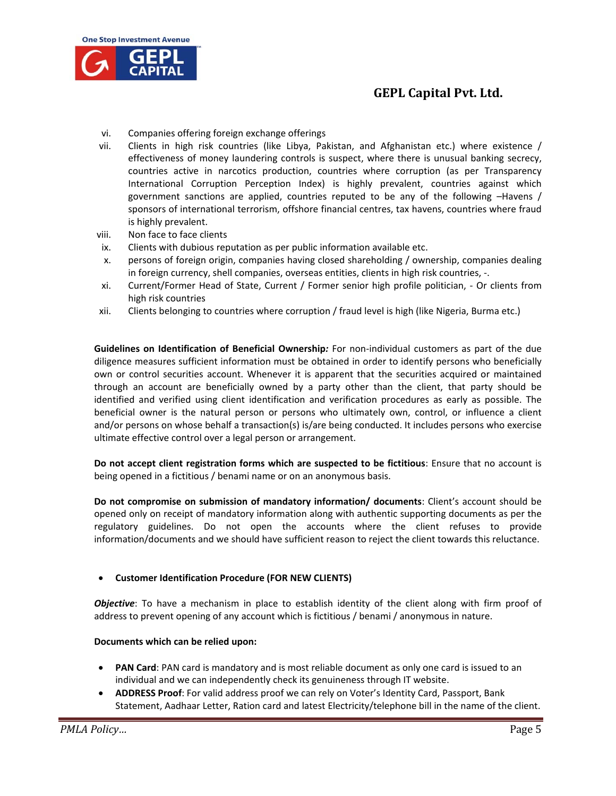

- vi. Companies offering foreign exchange offerings
- vii. Clients in high risk countries (like Libya, Pakistan, and Afghanistan etc.) where existence / effectiveness of money laundering controls is suspect, where there is unusual banking secrecy, countries active in narcotics production, countries where corruption (as per Transparency International Corruption Perception Index) is highly prevalent, countries against which government sanctions are applied, countries reputed to be any of the following –Havens / sponsors of international terrorism, offshore financial centres, tax havens, countries where fraud is highly prevalent.
- viii. Non face to face clients
- ix. Clients with dubious reputation as per public information available etc.
- x. persons of foreign origin, companies having closed shareholding / ownership, companies dealing in foreign currency, shell companies, overseas entities, clients in high risk countries, ‐.
- xi. Current/Former Head of State, Current / Former senior high profile politician, ‐ Or clients from high risk countries
- xii. Clients belonging to countries where corruption / fraud level is high (like Nigeria, Burma etc.)

**Guidelines on Identification of Beneficial Ownership***:* For non‐individual customers as part of the due diligence measures sufficient information must be obtained in order to identify persons who beneficially own or control securities account. Whenever it is apparent that the securities acquired or maintained through an account are beneficially owned by a party other than the client, that party should be identified and verified using client identification and verification procedures as early as possible. The beneficial owner is the natural person or persons who ultimately own, control, or influence a client and/or persons on whose behalf a transaction(s) is/are being conducted. It includes persons who exercise ultimate effective control over a legal person or arrangement.

**Do not accept client registration forms which are suspected to be fictitious**: Ensure that no account is being opened in a fictitious / benami name or on an anonymous basis.

**Do not compromise on submission of mandatory information/ documents**: Client's account should be opened only on receipt of mandatory information along with authentic supporting documents as per the regulatory guidelines. Do not open the accounts where the client refuses to provide information/documents and we should have sufficient reason to reject the client towards this reluctance.

## **Customer Identification Procedure (FOR NEW CLIENTS)**

*Objective*: To have a mechanism in place to establish identity of the client along with firm proof of address to prevent opening of any account which is fictitious / benami / anonymous in nature.

## **Documents which can be relied upon:**

- **PAN Card**: PAN card is mandatory and is most reliable document as only one card is issued to an individual and we can independently check its genuineness through IT website.
- **ADDRESS Proof**: For valid address proof we can rely on Voter's Identity Card, Passport, Bank Statement, Aadhaar Letter, Ration card and latest Electricity/telephone bill in the name of the client.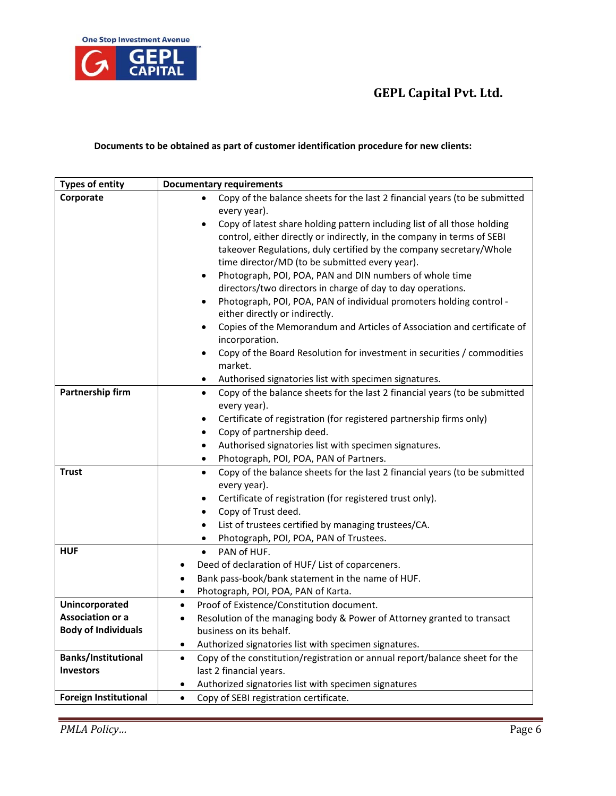

## **Documents to be obtained as part of customer identification procedure for new clients:**

| <b>Types of entity</b>       | <b>Documentary requirements</b>                                                           |
|------------------------------|-------------------------------------------------------------------------------------------|
| Corporate                    | Copy of the balance sheets for the last 2 financial years (to be submitted<br>$\bullet$   |
|                              | every year).                                                                              |
|                              | Copy of latest share holding pattern including list of all those holding                  |
|                              | control, either directly or indirectly, in the company in terms of SEBI                   |
|                              | takeover Regulations, duly certified by the company secretary/Whole                       |
|                              | time director/MD (to be submitted every year).                                            |
|                              | Photograph, POI, POA, PAN and DIN numbers of whole time<br>٠                              |
|                              | directors/two directors in charge of day to day operations.                               |
|                              | Photograph, POI, POA, PAN of individual promoters holding control -<br>$\bullet$          |
|                              | either directly or indirectly.                                                            |
|                              | Copies of the Memorandum and Articles of Association and certificate of<br>٠              |
|                              | incorporation.                                                                            |
|                              | Copy of the Board Resolution for investment in securities / commodities<br>٠              |
|                              | market.                                                                                   |
|                              | Authorised signatories list with specimen signatures.<br>٠                                |
| Partnership firm             | Copy of the balance sheets for the last 2 financial years (to be submitted<br>$\bullet$   |
|                              | every year).                                                                              |
|                              | Certificate of registration (for registered partnership firms only)<br>٠                  |
|                              | Copy of partnership deed.<br>٠                                                            |
|                              | Authorised signatories list with specimen signatures.<br>٠                                |
|                              | Photograph, POI, POA, PAN of Partners.<br>٠                                               |
| <b>Trust</b>                 | Copy of the balance sheets for the last 2 financial years (to be submitted<br>$\bullet$   |
|                              | every year).                                                                              |
|                              | Certificate of registration (for registered trust only).<br>٠                             |
|                              | Copy of Trust deed.<br>$\bullet$                                                          |
|                              | List of trustees certified by managing trustees/CA.<br>$\bullet$                          |
|                              | Photograph, POI, POA, PAN of Trustees.<br>$\bullet$                                       |
| <b>HUF</b>                   | PAN of HUF.<br>$\bullet$                                                                  |
|                              | Deed of declaration of HUF/ List of coparceners.                                          |
|                              | Bank pass-book/bank statement in the name of HUF.<br>٠                                    |
|                              | Photograph, POI, POA, PAN of Karta.<br>$\bullet$                                          |
| Unincorporated               | Proof of Existence/Constitution document.<br>$\bullet$                                    |
| <b>Association or a</b>      | Resolution of the managing body & Power of Attorney granted to transact<br>$\bullet$      |
| <b>Body of Individuals</b>   | business on its behalf.                                                                   |
|                              | Authorized signatories list with specimen signatures.<br>٠                                |
| <b>Banks/Institutional</b>   | Copy of the constitution/registration or annual report/balance sheet for the<br>$\bullet$ |
| <b>Investors</b>             | last 2 financial years.                                                                   |
|                              | Authorized signatories list with specimen signatures                                      |
| <b>Foreign Institutional</b> | Copy of SEBI registration certificate.<br>$\bullet$                                       |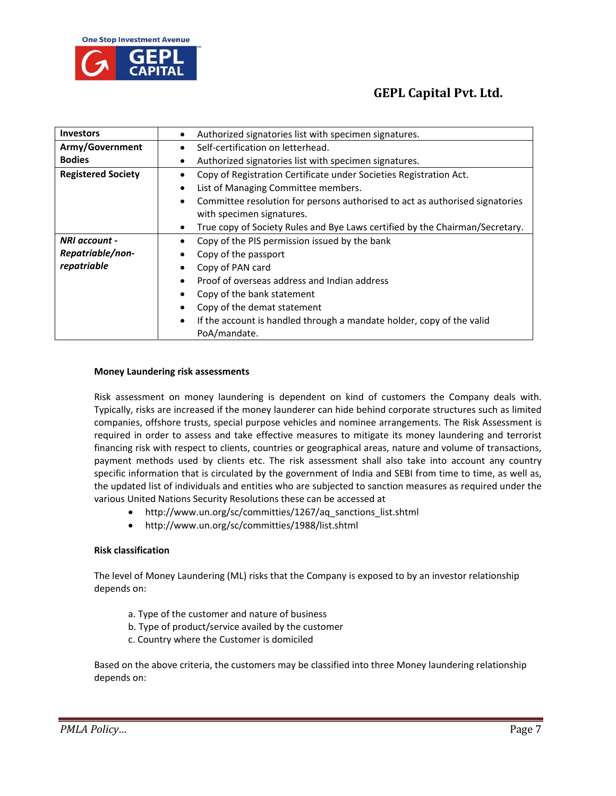

| <b>Investors</b>          | Authorized signatories list with specimen signatures.                        |
|---------------------------|------------------------------------------------------------------------------|
| Army/Government           | Self-certification on letterhead.                                            |
| <b>Bodies</b>             | Authorized signatories list with specimen signatures.                        |
| <b>Registered Society</b> | Copy of Registration Certificate under Societies Registration Act.           |
|                           | List of Managing Committee members.                                          |
|                           | Committee resolution for persons authorised to act as authorised signatories |
|                           | with specimen signatures.                                                    |
|                           | True copy of Society Rules and Bye Laws certified by the Chairman/Secretary. |
| NRI account -             | Copy of the PIS permission issued by the bank                                |
| Repatriable/non-          | Copy of the passport                                                         |
| repatriable               | Copy of PAN card                                                             |
|                           | Proof of overseas address and Indian address                                 |
|                           | Copy of the bank statement                                                   |
|                           | Copy of the demat statement                                                  |
|                           | If the account is handled through a mandate holder, copy of the valid        |
|                           | PoA/mandate.                                                                 |

#### **Money Laundering risk assessments**

Risk assessment on money laundering is dependent on kind of customers the Company deals with. Typically, risks are increased if the money launderer can hide behind corporate structures such as limited companies, offshore trusts, special purpose vehicles and nominee arrangements. The Risk Assessment is required in order to assess and take effective measures to mitigate its money laundering and terrorist financing risk with respect to clients, countries or geographical areas, nature and volume of transactions, payment methods used by clients etc. The risk assessment shall also take into account any country specific information that is circulated by the government of India and SEBI from time to time, as well as, the updated list of individuals and entities who are subjected to sanction measures as required under the various United Nations Security Resolutions these can be accessed at

- http://www.un.org/sc/committies/1267/aq\_sanctions\_list.shtml
- http://www.un.org/sc/committies/1988/list.shtml

## **Risk classification**

The level of Money Laundering (ML) risks that the Company is exposed to by an investor relationship depends on:

- a. Type of the customer and nature of business
- b. Type of product/service availed by the customer
- c. Country where the Customer is domiciled

Based on the above criteria, the customers may be classified into three Money laundering relationship depends on: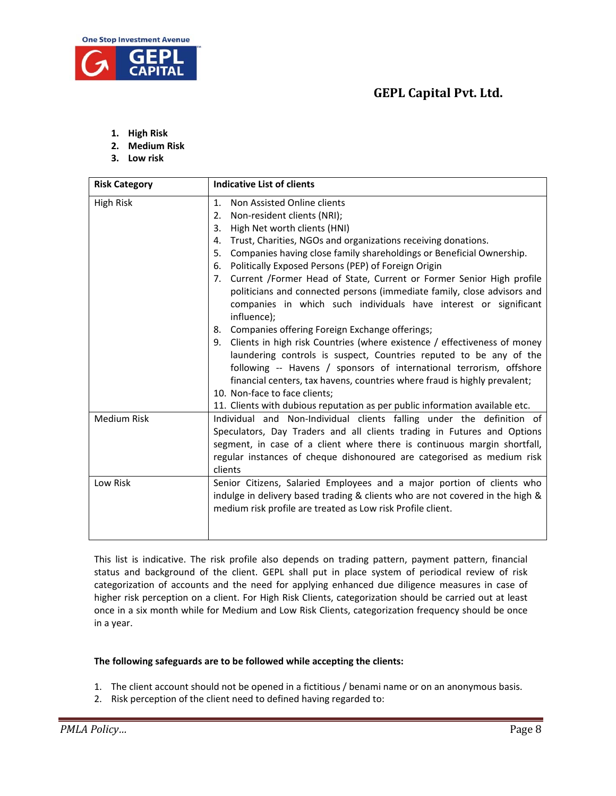

- **1. High Risk**
- **2. Medium Risk**
- **3. Low risk**

| <b>Risk Category</b> | <b>Indicative List of clients</b>                                                                                                                                                                                                                                                                                                                                                                                                                                                                                                                                                                                                                                                                                                                                                                                                                                                                                                                                                                                                                                  |
|----------------------|--------------------------------------------------------------------------------------------------------------------------------------------------------------------------------------------------------------------------------------------------------------------------------------------------------------------------------------------------------------------------------------------------------------------------------------------------------------------------------------------------------------------------------------------------------------------------------------------------------------------------------------------------------------------------------------------------------------------------------------------------------------------------------------------------------------------------------------------------------------------------------------------------------------------------------------------------------------------------------------------------------------------------------------------------------------------|
| <b>High Risk</b>     | Non Assisted Online clients<br>1 <sub>1</sub><br>Non-resident clients (NRI);<br>2.<br>High Net worth clients (HNI)<br>3.<br>Trust, Charities, NGOs and organizations receiving donations.<br>4.<br>Companies having close family shareholdings or Beneficial Ownership.<br>5.<br>Politically Exposed Persons (PEP) of Foreign Origin<br>6.<br>7. Current /Former Head of State, Current or Former Senior High profile<br>politicians and connected persons (immediate family, close advisors and<br>companies in which such individuals have interest or significant<br>influence);<br>8. Companies offering Foreign Exchange offerings;<br>9. Clients in high risk Countries (where existence / effectiveness of money<br>laundering controls is suspect, Countries reputed to be any of the<br>following -- Havens / sponsors of international terrorism, offshore<br>financial centers, tax havens, countries where fraud is highly prevalent;<br>10. Non-face to face clients;<br>11. Clients with dubious reputation as per public information available etc. |
| <b>Medium Risk</b>   | Individual and Non-Individual clients falling under the definition of<br>Speculators, Day Traders and all clients trading in Futures and Options<br>segment, in case of a client where there is continuous margin shortfall,<br>regular instances of cheque dishonoured are categorised as medium risk<br>clients                                                                                                                                                                                                                                                                                                                                                                                                                                                                                                                                                                                                                                                                                                                                                  |
| Low Risk             | Senior Citizens, Salaried Employees and a major portion of clients who<br>indulge in delivery based trading & clients who are not covered in the high &<br>medium risk profile are treated as Low risk Profile client.                                                                                                                                                                                                                                                                                                                                                                                                                                                                                                                                                                                                                                                                                                                                                                                                                                             |

This list is indicative. The risk profile also depends on trading pattern, payment pattern, financial status and background of the client. GEPL shall put in place system of periodical review of risk categorization of accounts and the need for applying enhanced due diligence measures in case of higher risk perception on a client. For High Risk Clients, categorization should be carried out at least once in a six month while for Medium and Low Risk Clients, categorization frequency should be once in a year.

## **The following safeguards are to be followed while accepting the clients:**

- 1. The client account should not be opened in a fictitious / benami name or on an anonymous basis.
- 2. Risk perception of the client need to defined having regarded to: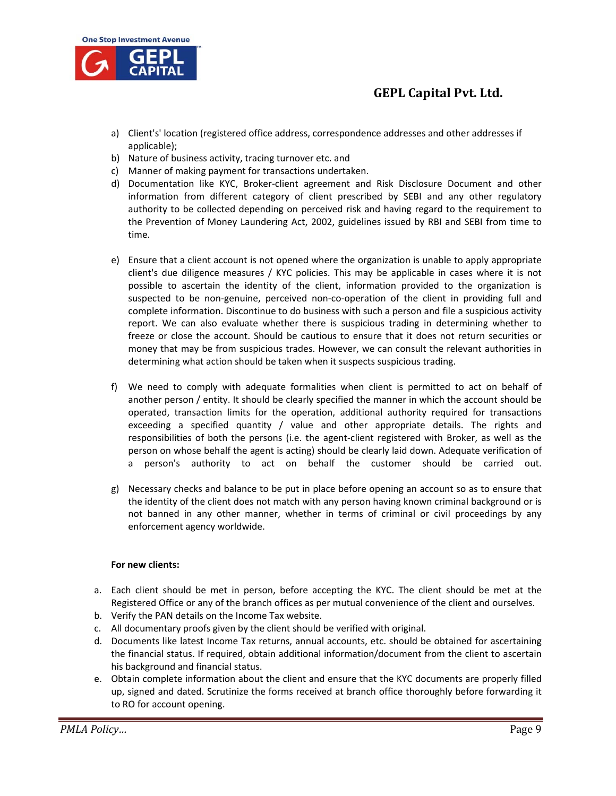

- a) Client's' location (registered office address, correspondence addresses and other addresses if applicable);
- b) Nature of business activity, tracing turnover etc. and
- c) Manner of making payment for transactions undertaken.
- d) Documentation like KYC, Broker‐client agreement and Risk Disclosure Document and other information from different category of client prescribed by SEBI and any other regulatory authority to be collected depending on perceived risk and having regard to the requirement to the Prevention of Money Laundering Act, 2002, guidelines issued by RBI and SEBI from time to time.
- e) Ensure that a client account is not opened where the organization is unable to apply appropriate client's due diligence measures / KYC policies. This may be applicable in cases where it is not possible to ascertain the identity of the client, information provided to the organization is suspected to be non-genuine, perceived non-co-operation of the client in providing full and complete information. Discontinue to do business with such a person and file a suspicious activity report. We can also evaluate whether there is suspicious trading in determining whether to freeze or close the account. Should be cautious to ensure that it does not return securities or money that may be from suspicious trades. However, we can consult the relevant authorities in determining what action should be taken when it suspects suspicious trading.
- f) We need to comply with adequate formalities when client is permitted to act on behalf of another person / entity. It should be clearly specified the manner in which the account should be operated, transaction limits for the operation, additional authority required for transactions exceeding a specified quantity / value and other appropriate details. The rights and responsibilities of both the persons (i.e. the agent‐client registered with Broker, as well as the person on whose behalf the agent is acting) should be clearly laid down. Adequate verification of a person's authority to act on behalf the customer should be carried out.
- g) Necessary checks and balance to be put in place before opening an account so as to ensure that the identity of the client does not match with any person having known criminal background or is not banned in any other manner, whether in terms of criminal or civil proceedings by any enforcement agency worldwide.

## **For new clients:**

- a. Each client should be met in person, before accepting the KYC. The client should be met at the Registered Office or any of the branch offices as per mutual convenience of the client and ourselves.
- b. Verify the PAN details on the Income Tax website.
- c. All documentary proofs given by the client should be verified with original.
- d. Documents like latest Income Tax returns, annual accounts, etc. should be obtained for ascertaining the financial status. If required, obtain additional information/document from the client to ascertain his background and financial status.
- e. Obtain complete information about the client and ensure that the KYC documents are properly filled up, signed and dated. Scrutinize the forms received at branch office thoroughly before forwarding it to RO for account opening.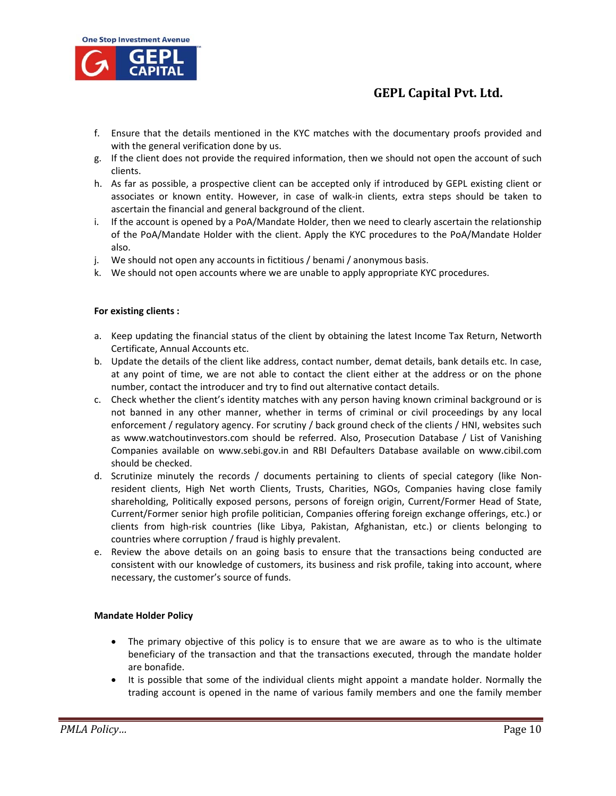

- f. Ensure that the details mentioned in the KYC matches with the documentary proofs provided and with the general verification done by us.
- g. If the client does not provide the required information, then we should not open the account of such clients.
- h. As far as possible, a prospective client can be accepted only if introduced by GEPL existing client or associates or known entity. However, in case of walk‐in clients, extra steps should be taken to ascertain the financial and general background of the client.
- i. If the account is opened by a PoA/Mandate Holder, then we need to clearly ascertain the relationship of the PoA/Mandate Holder with the client. Apply the KYC procedures to the PoA/Mandate Holder also.
- j. We should not open any accounts in fictitious / benami / anonymous basis.
- k. We should not open accounts where we are unable to apply appropriate KYC procedures.

## **For existing clients :**

- a. Keep updating the financial status of the client by obtaining the latest Income Tax Return, Networth Certificate, Annual Accounts etc.
- b. Update the details of the client like address, contact number, demat details, bank details etc. In case, at any point of time, we are not able to contact the client either at the address or on the phone number, contact the introducer and try to find out alternative contact details.
- c. Check whether the client's identity matches with any person having known criminal background or is not banned in any other manner, whether in terms of criminal or civil proceedings by any local enforcement / regulatory agency. For scrutiny / back ground check of the clients / HNI, websites such as www.watchoutinvestors.com should be referred. Also, Prosecution Database / List of Vanishing Companies available on www.sebi.gov.in and RBI Defaulters Database available on www.cibil.com should be checked.
- d. Scrutinize minutely the records / documents pertaining to clients of special category (like Nonresident clients, High Net worth Clients, Trusts, Charities, NGOs, Companies having close family shareholding, Politically exposed persons, persons of foreign origin, Current/Former Head of State, Current/Former senior high profile politician, Companies offering foreign exchange offerings, etc.) or clients from high‐risk countries (like Libya, Pakistan, Afghanistan, etc.) or clients belonging to countries where corruption / fraud is highly prevalent.
- e. Review the above details on an going basis to ensure that the transactions being conducted are consistent with our knowledge of customers, its business and risk profile, taking into account, where necessary, the customer's source of funds.

## **Mandate Holder Policy**

- The primary objective of this policy is to ensure that we are aware as to who is the ultimate beneficiary of the transaction and that the transactions executed, through the mandate holder are bonafide.
- It is possible that some of the individual clients might appoint a mandate holder. Normally the trading account is opened in the name of various family members and one the family member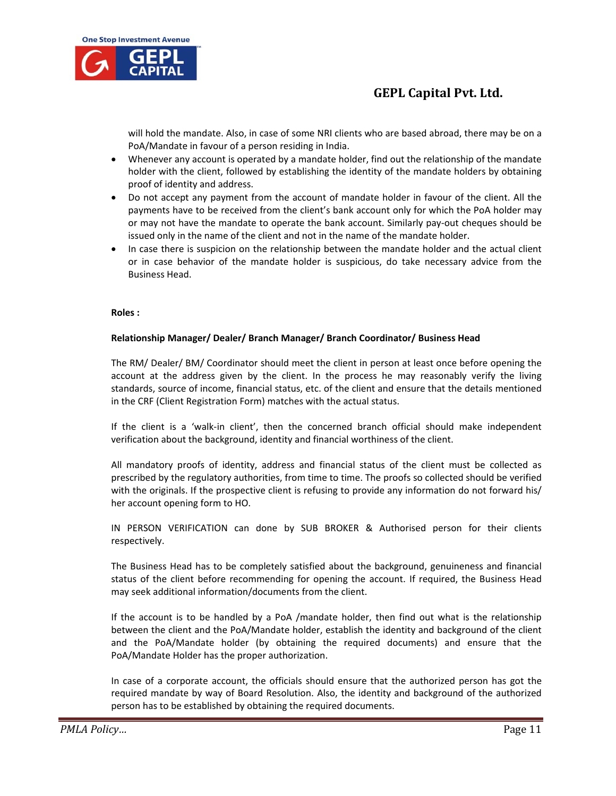

will hold the mandate. Also, in case of some NRI clients who are based abroad, there may be on a PoA/Mandate in favour of a person residing in India.

- Whenever any account is operated by a mandate holder, find out the relationship of the mandate holder with the client, followed by establishing the identity of the mandate holders by obtaining proof of identity and address.
- Do not accept any payment from the account of mandate holder in favour of the client. All the payments have to be received from the client's bank account only for which the PoA holder may or may not have the mandate to operate the bank account. Similarly pay‐out cheques should be issued only in the name of the client and not in the name of the mandate holder.
- In case there is suspicion on the relationship between the mandate holder and the actual client or in case behavior of the mandate holder is suspicious, do take necessary advice from the Business Head.

#### **Roles :**

## **Relationship Manager/ Dealer/ Branch Manager/ Branch Coordinator/ Business Head**

The RM/ Dealer/ BM/ Coordinator should meet the client in person at least once before opening the account at the address given by the client. In the process he may reasonably verify the living standards, source of income, financial status, etc. of the client and ensure that the details mentioned in the CRF (Client Registration Form) matches with the actual status.

If the client is a 'walk‐in client', then the concerned branch official should make independent verification about the background, identity and financial worthiness of the client.

All mandatory proofs of identity, address and financial status of the client must be collected as prescribed by the regulatory authorities, from time to time. The proofs so collected should be verified with the originals. If the prospective client is refusing to provide any information do not forward his/ her account opening form to HO.

IN PERSON VERIFICATION can done by SUB BROKER & Authorised person for their clients respectively.

The Business Head has to be completely satisfied about the background, genuineness and financial status of the client before recommending for opening the account. If required, the Business Head may seek additional information/documents from the client.

If the account is to be handled by a PoA /mandate holder, then find out what is the relationship between the client and the PoA/Mandate holder, establish the identity and background of the client and the PoA/Mandate holder (by obtaining the required documents) and ensure that the PoA/Mandate Holder has the proper authorization.

In case of a corporate account, the officials should ensure that the authorized person has got the required mandate by way of Board Resolution. Also, the identity and background of the authorized person has to be established by obtaining the required documents.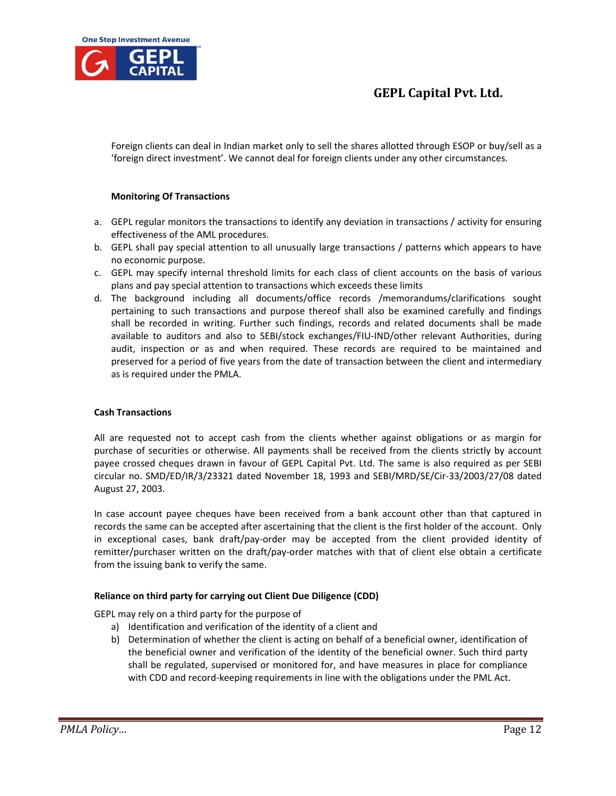

Foreign clients can deal in Indian market only to sell the shares allotted through ESOP or buy/sell as a 'foreign direct investment'. We cannot deal for foreign clients under any other circumstances.

## **Monitoring Of Transactions**

- a. GEPL regular monitors the transactions to identify any deviation in transactions / activity for ensuring effectiveness of the AML procedures.
- b. GEPL shall pay special attention to all unusually large transactions / patterns which appears to have no economic purpose.
- c. GEPL may specify internal threshold limits for each class of client accounts on the basis of various plans and pay special attention to transactions which exceeds these limits
- d. The background including all documents/office records /memorandums/clarifications sought pertaining to such transactions and purpose thereof shall also be examined carefully and findings shall be recorded in writing. Further such findings, records and related documents shall be made available to auditors and also to SEBI/stock exchanges/FIU‐IND/other relevant Authorities, during audit, inspection or as and when required. These records are required to be maintained and preserved for a period of five years from the date of transaction between the client and intermediary as is required under the PMLA.

## **Cash Transactions**

All are requested not to accept cash from the clients whether against obligations or as margin for purchase of securities or otherwise. All payments shall be received from the clients strictly by account payee crossed cheques drawn in favour of GEPL Capital Pvt. Ltd. The same is also required as per SEBI circular no. SMD/ED/IR/3/23321 dated November 18, 1993 and SEBI/MRD/SE/Cir‐33/2003/27/08 dated August 27, 2003.

In case account payee cheques have been received from a bank account other than that captured in records the same can be accepted after ascertaining that the client is the first holder of the account. Only in exceptional cases, bank draft/pay-order may be accepted from the client provided identity of remitter/purchaser written on the draft/pay‐order matches with that of client else obtain a certificate from the issuing bank to verify the same.

## **Reliance on third party for carrying out Client Due Diligence (CDD)**

GEPL may rely on a third party for the purpose of

- a) Identification and verification of the identity of a client and
- b) Determination of whether the client is acting on behalf of a beneficial owner, identification of the beneficial owner and verification of the identity of the beneficial owner. Such third party shall be regulated, supervised or monitored for, and have measures in place for compliance with CDD and record-keeping requirements in line with the obligations under the PML Act.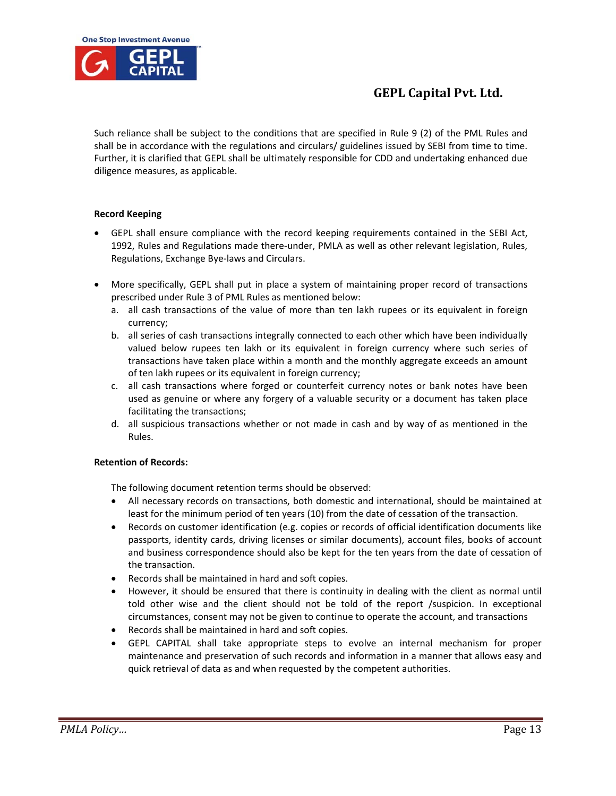

Such reliance shall be subject to the conditions that are specified in Rule 9 (2) of the PML Rules and shall be in accordance with the regulations and circulars/ guidelines issued by SEBI from time to time. Further, it is clarified that GEPL shall be ultimately responsible for CDD and undertaking enhanced due diligence measures, as applicable.

## **Record Keeping**

- GEPL shall ensure compliance with the record keeping requirements contained in the SEBI Act, 1992, Rules and Regulations made there‐under, PMLA as well as other relevant legislation, Rules, Regulations, Exchange Bye‐laws and Circulars.
- More specifically, GEPL shall put in place a system of maintaining proper record of transactions prescribed under Rule 3 of PML Rules as mentioned below:
	- a. all cash transactions of the value of more than ten lakh rupees or its equivalent in foreign currency;
	- b. all series of cash transactions integrally connected to each other which have been individually valued below rupees ten lakh or its equivalent in foreign currency where such series of transactions have taken place within a month and the monthly aggregate exceeds an amount of ten lakh rupees or its equivalent in foreign currency;
	- c. all cash transactions where forged or counterfeit currency notes or bank notes have been used as genuine or where any forgery of a valuable security or a document has taken place facilitating the transactions;
	- d. all suspicious transactions whether or not made in cash and by way of as mentioned in the Rules.

## **Retention of Records:**

The following document retention terms should be observed:

- All necessary records on transactions, both domestic and international, should be maintained at least for the minimum period of ten years (10) from the date of cessation of the transaction.
- Records on customer identification (e.g. copies or records of official identification documents like passports, identity cards, driving licenses or similar documents), account files, books of account and business correspondence should also be kept for the ten years from the date of cessation of the transaction.
- Records shall be maintained in hard and soft copies.
- However, it should be ensured that there is continuity in dealing with the client as normal until told other wise and the client should not be told of the report /suspicion. In exceptional circumstances, consent may not be given to continue to operate the account, and transactions
- Records shall be maintained in hard and soft copies.
- GEPL CAPITAL shall take appropriate steps to evolve an internal mechanism for proper maintenance and preservation of such records and information in a manner that allows easy and quick retrieval of data as and when requested by the competent authorities.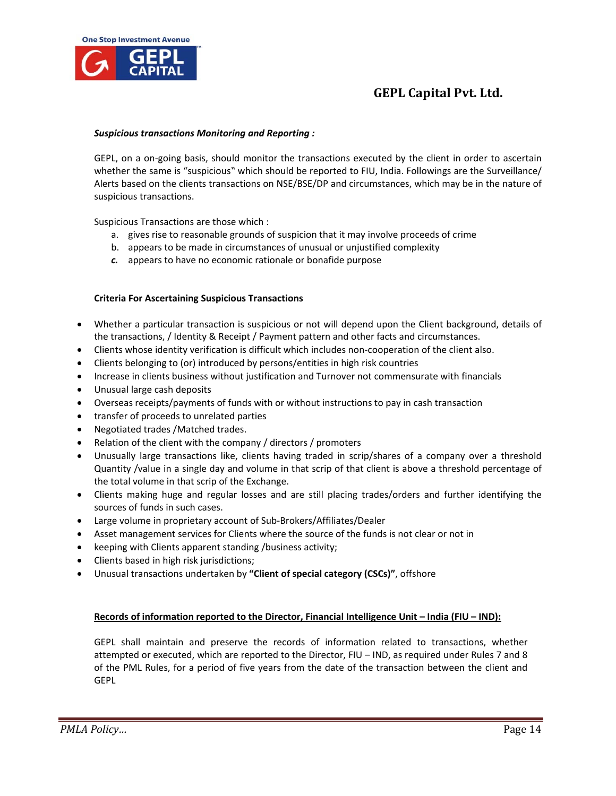

#### *Suspicious transactions Monitoring and Reporting :*

GEPL, on a on‐going basis, should monitor the transactions executed by the client in order to ascertain whether the same is "suspicious" which should be reported to FIU, India. Followings are the Surveillance/ Alerts based on the clients transactions on NSE/BSE/DP and circumstances, which may be in the nature of suspicious transactions.

Suspicious Transactions are those which :

- a. gives rise to reasonable grounds of suspicion that it may involve proceeds of crime
- b. appears to be made in circumstances of unusual or unjustified complexity
- *c.* appears to have no economic rationale or bonafide purpose

## **Criteria For Ascertaining Suspicious Transactions**

- Whether a particular transaction is suspicious or not will depend upon the Client background, details of the transactions, / Identity & Receipt / Payment pattern and other facts and circumstances.
- Clients whose identity verification is difficult which includes non-cooperation of the client also.
- Clients belonging to (or) introduced by persons/entities in high risk countries
- Increase in clients business without justification and Turnover not commensurate with financials
- Unusual large cash deposits
- Overseas receipts/payments of funds with or without instructions to pay in cash transaction
- transfer of proceeds to unrelated parties
- Negotiated trades /Matched trades.
- Relation of the client with the company / directors / promoters
- Unusually large transactions like, clients having traded in scrip/shares of a company over a threshold Quantity /value in a single day and volume in that scrip of that client is above a threshold percentage of the total volume in that scrip of the Exchange.
- Clients making huge and regular losses and are still placing trades/orders and further identifying the sources of funds in such cases.
- Large volume in proprietary account of Sub‐Brokers/Affiliates/Dealer
- Asset management services for Clients where the source of the funds is not clear or not in
- keeping with Clients apparent standing /business activity;
- Clients based in high risk jurisdictions;
- Unusual transactions undertaken by **"Client of special category (CSCs)"**, offshore

## <sup>U</sup>**Records of information reported to the Director, Financial Intelligence Unit – India (FIU – IND):**

GEPL shall maintain and preserve the records of information related to transactions, whether attempted or executed, which are reported to the Director, FIU – IND, as required under Rules 7 and 8 of the PML Rules, for a period of five years from the date of the transaction between the client and **GEPL**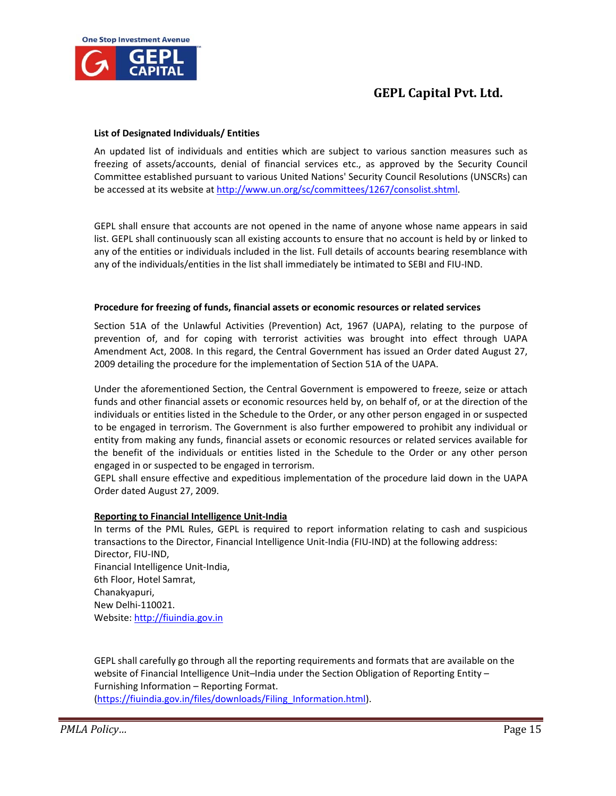

## **List of Designated Individuals/ Entities**

An updated list of individuals and entities which are subject to various sanction measures such as freezing of assets/accounts, denial of financial services etc., as approved by the Security Council Committee established pursuant to various United Nations' Security Council Resolutions (UNSCRs) can be accessed at its website at http://www.un.org/sc/committees/1267/consolist.shtml.

GEPL shall ensure that accounts are not opened in the name of anyone whose name appears in said list. GEPL shall continuously scan all existing accounts to ensure that no account is held by or linked to any of the entities or individuals included in the list. Full details of accounts bearing resemblance with any of the individuals/entities in the list shall immediately be intimated to SEBI and FIU‐IND.

## **Procedure for freezing of funds, financial assets or economic resources or related services**

Section 51A of the Unlawful Activities (Prevention) Act, 1967 (UAPA), relating to the purpose of prevention of, and for coping with terrorist activities was brought into effect through UAPA Amendment Act, 2008. In this regard, the Central Government has issued an Order dated August 27, 2009 detailing the procedure for the implementation of Section 51A of the UAPA.

Under the aforementioned Section, the Central Government is empowered to freeze, seize or attach funds and other financial assets or economic resources held by, on behalf of, or at the direction of the individuals or entities listed in the Schedule to the Order, or any other person engaged in or suspected to be engaged in terrorism. The Government is also further empowered to prohibit any individual or entity from making any funds, financial assets or economic resources or related services available for the benefit of the individuals or entities listed in the Schedule to the Order or any other person engaged in or suspected to be engaged in terrorism.

GEPL shall ensure effective and expeditious implementation of the procedure laid down in the UAPA Order dated August 27, 2009.

## <sup>U</sup>**Reporting to Financial Intelligence Unit‐India**

In terms of the PML Rules, GEPL is required to report information relating to cash and suspicious transactions to the Director, Financial Intelligence Unit‐India (FIU‐IND) at the following address: Director, FIU‐IND, Financial Intelligence Unit‐India, 6th Floor, Hotel Samrat, Chanakyapuri, New Delhi‐110021. Website: http://fiuindia.gov.in

GEPL shall carefully go through all the reporting requirements and formats that are available on the website of Financial Intelligence Unit–India under the Section Obligation of Reporting Entity – Furnishing Information – Reporting Format. (https://fiuindia.gov.in/files/downloads/Filing\_Information.html).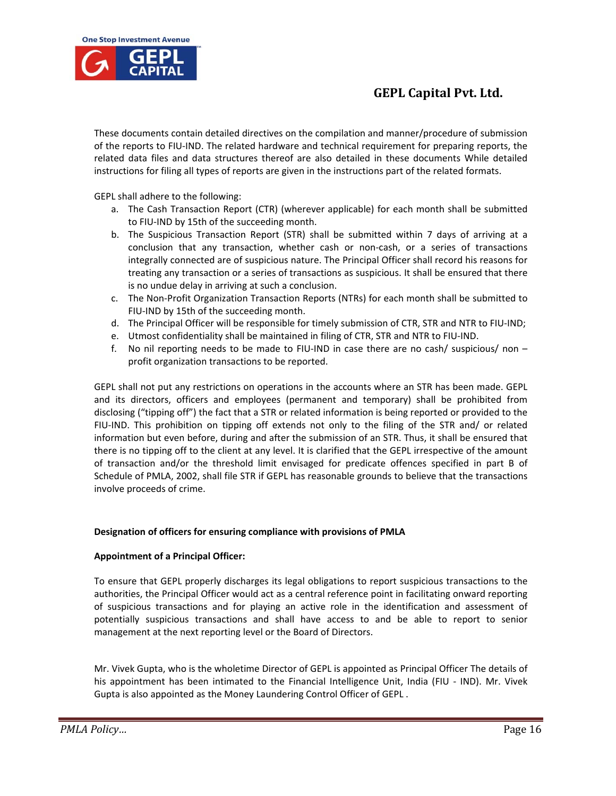

These documents contain detailed directives on the compilation and manner/procedure of submission of the reports to FIU‐IND. The related hardware and technical requirement for preparing reports, the related data files and data structures thereof are also detailed in these documents While detailed instructions for filing all types of reports are given in the instructions part of the related formats.

GEPL shall adhere to the following:

- a. The Cash Transaction Report (CTR) (wherever applicable) for each month shall be submitted to FIU‐IND by 15th of the succeeding month.
- b. The Suspicious Transaction Report (STR) shall be submitted within 7 days of arriving at a conclusion that any transaction, whether cash or non-cash, or a series of transactions integrally connected are of suspicious nature. The Principal Officer shall record his reasons for treating any transaction or a series of transactions as suspicious. It shall be ensured that there is no undue delay in arriving at such a conclusion.
- c. The Non‐Profit Organization Transaction Reports (NTRs) for each month shall be submitted to FIU‐IND by 15th of the succeeding month.
- d. The Principal Officer will be responsible for timely submission of CTR, STR and NTR to FIU‐IND;
- e. Utmost confidentiality shall be maintained in filing of CTR, STR and NTR to FIU‐IND.
- f. No nil reporting needs to be made to FIU-IND in case there are no cash/ suspicious/ non  $$ profit organization transactions to be reported.

GEPL shall not put any restrictions on operations in the accounts where an STR has been made. GEPL and its directors, officers and employees (permanent and temporary) shall be prohibited from disclosing ("tipping off") the fact that a STR or related information is being reported or provided to the FIU-IND. This prohibition on tipping off extends not only to the filing of the STR and/ or related information but even before, during and after the submission of an STR. Thus, it shall be ensured that there is no tipping off to the client at any level. It is clarified that the GEPL irrespective of the amount of transaction and/or the threshold limit envisaged for predicate offences specified in part B of Schedule of PMLA, 2002, shall file STR if GEPL has reasonable grounds to believe that the transactions involve proceeds of crime.

## **Designation of officers for ensuring compliance with provisions of PMLA**

## **Appointment of a Principal Officer:**

To ensure that GEPL properly discharges its legal obligations to report suspicious transactions to the authorities, the Principal Officer would act as a central reference point in facilitating onward reporting of suspicious transactions and for playing an active role in the identification and assessment of potentially suspicious transactions and shall have access to and be able to report to senior management at the next reporting level or the Board of Directors.

Mr. Vivek Gupta, who is the wholetime Director of GEPL is appointed as Principal Officer The details of his appointment has been intimated to the Financial Intelligence Unit, India (FIU - IND). Mr. Vivek Gupta is also appointed as the Money Laundering Control Officer of GEPL .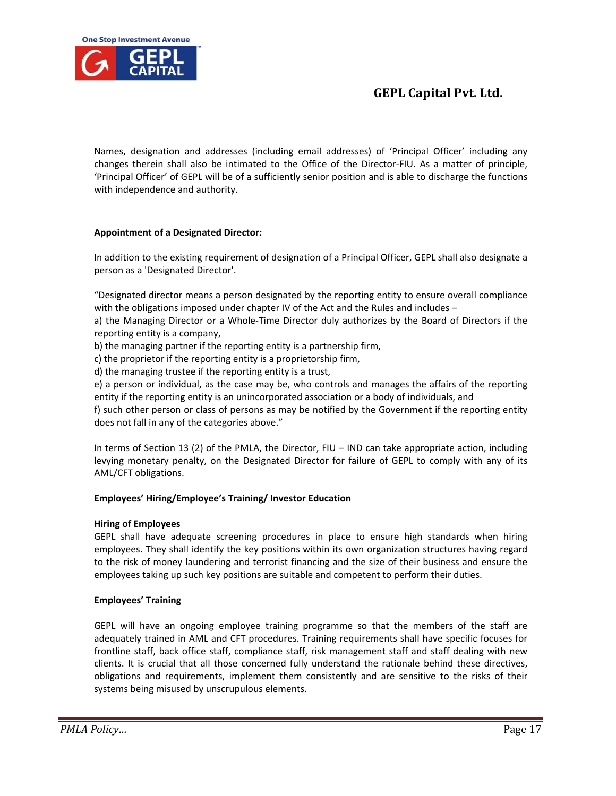

## **Appointment of a Designated Director:**

**One Stop Investment Avenue** 

In addition to the existing requirement of designation of a Principal Officer, GEPL shall also designate a person as a 'Designated Director'.

"Designated director means a person designated by the reporting entity to ensure overall compliance with the obligations imposed under chapter IV of the Act and the Rules and includes –

a) the Managing Director or a Whole‐Time Director duly authorizes by the Board of Directors if the reporting entity is a company,

b) the managing partner if the reporting entity is a partnership firm,

c) the proprietor if the reporting entity is a proprietorship firm,

d) the managing trustee if the reporting entity is a trust,

e) a person or individual, as the case may be, who controls and manages the affairs of the reporting entity if the reporting entity is an unincorporated association or a body of individuals, and

f) such other person or class of persons as may be notified by the Government if the reporting entity does not fall in any of the categories above."

In terms of Section 13 (2) of the PMLA, the Director, FIU – IND can take appropriate action, including levying monetary penalty, on the Designated Director for failure of GEPL to comply with any of its AML/CFT obligations.

## **Employees' Hiring/Employee's Training/ Investor Education**

## **Hiring of Employees**

GEPL shall have adequate screening procedures in place to ensure high standards when hiring employees. They shall identify the key positions within its own organization structures having regard to the risk of money laundering and terrorist financing and the size of their business and ensure the employees taking up such key positions are suitable and competent to perform their duties.

## **Employees' Training**

GEPL will have an ongoing employee training programme so that the members of the staff are adequately trained in AML and CFT procedures. Training requirements shall have specific focuses for frontline staff, back office staff, compliance staff, risk management staff and staff dealing with new clients. It is crucial that all those concerned fully understand the rationale behind these directives, obligations and requirements, implement them consistently and are sensitive to the risks of their systems being misused by unscrupulous elements.